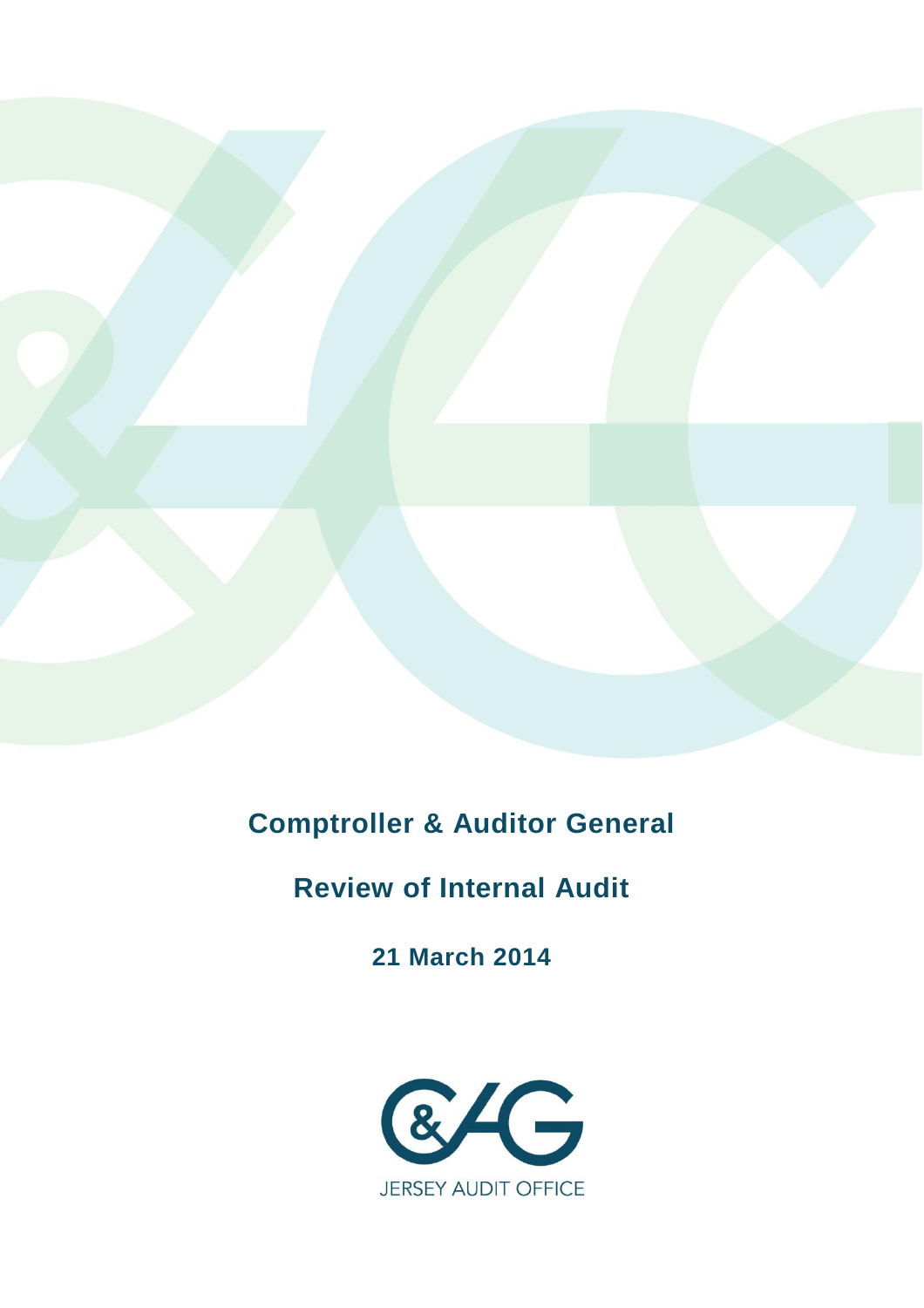

**Comptroller & Auditor General**

# **Review of Internal Audit**

**21 March 2014**

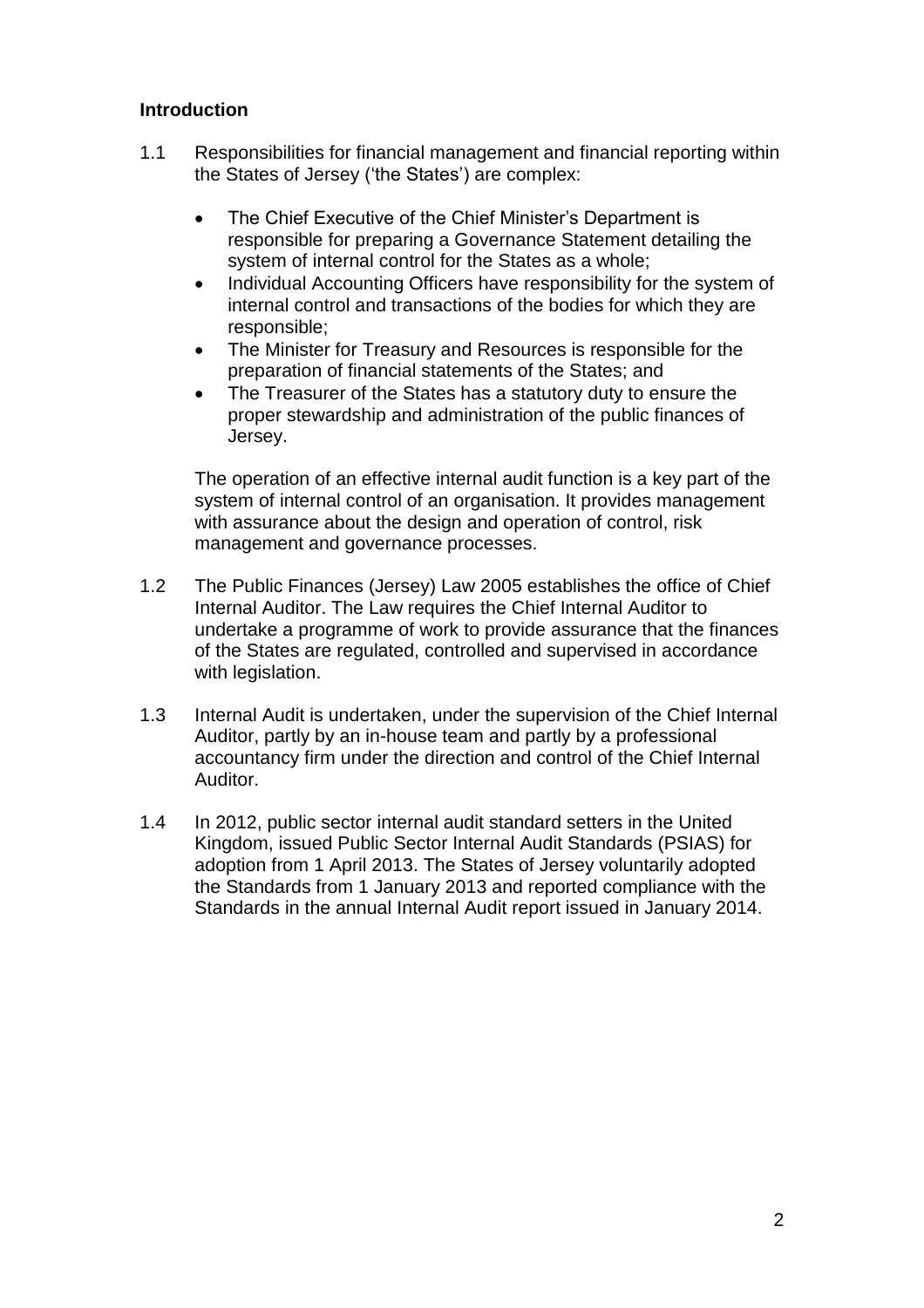## **Introduction**

- 1.1 Responsibilities for financial management and financial reporting within the States of Jersey ('the States') are complex:
	- The Chief Executive of the Chief Minister's Department is responsible for preparing a Governance Statement detailing the system of internal control for the States as a whole;
	- Individual Accounting Officers have responsibility for the system of internal control and transactions of the bodies for which they are responsible;
	- The Minister for Treasury and Resources is responsible for the preparation of financial statements of the States; and
	- The Treasurer of the States has a statutory duty to ensure the proper stewardship and administration of the public finances of Jersey.

The operation of an effective internal audit function is a key part of the system of internal control of an organisation. It provides management with assurance about the design and operation of control, risk management and governance processes.

- 1.2 The Public Finances (Jersey) Law 2005 establishes the office of Chief Internal Auditor. The Law requires the Chief Internal Auditor to undertake a programme of work to provide assurance that the finances of the States are regulated, controlled and supervised in accordance with legislation.
- 1.3 Internal Audit is undertaken, under the supervision of the Chief Internal Auditor, partly by an in-house team and partly by a professional accountancy firm under the direction and control of the Chief Internal Auditor.
- 1.4 In 2012, public sector internal audit standard setters in the United Kingdom, issued Public Sector Internal Audit Standards (PSIAS) for adoption from 1 April 2013. The States of Jersey voluntarily adopted the Standards from 1 January 2013 and reported compliance with the Standards in the annual Internal Audit report issued in January 2014.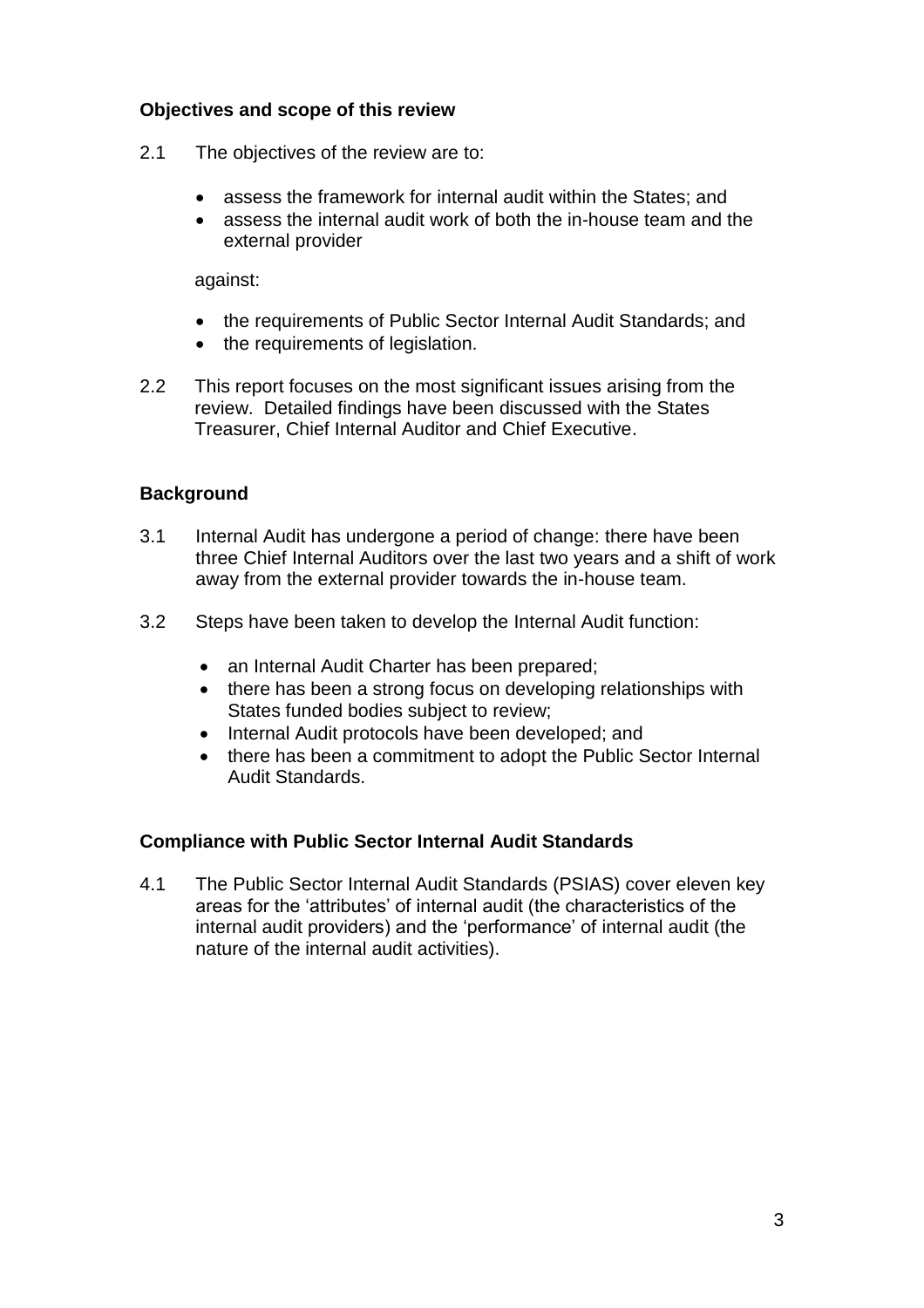## **Objectives and scope of this review**

- 2.1 The objectives of the review are to:
	- assess the framework for internal audit within the States; and
	- assess the internal audit work of both the in-house team and the external provider

against:

- the requirements of Public Sector Internal Audit Standards; and
- the requirements of legislation.
- 2.2 This report focuses on the most significant issues arising from the review. Detailed findings have been discussed with the States Treasurer, Chief Internal Auditor and Chief Executive.

#### **Background**

- 3.1 Internal Audit has undergone a period of change: there have been three Chief Internal Auditors over the last two years and a shift of work away from the external provider towards the in-house team.
- 3.2 Steps have been taken to develop the Internal Audit function:
	- an Internal Audit Charter has been prepared;
	- there has been a strong focus on developing relationships with States funded bodies subject to review;
	- Internal Audit protocols have been developed; and
	- there has been a commitment to adopt the Public Sector Internal Audit Standards.

#### **Compliance with Public Sector Internal Audit Standards**

4.1 The Public Sector Internal Audit Standards (PSIAS) cover eleven key areas for the 'attributes' of internal audit (the characteristics of the internal audit providers) and the 'performance' of internal audit (the nature of the internal audit activities).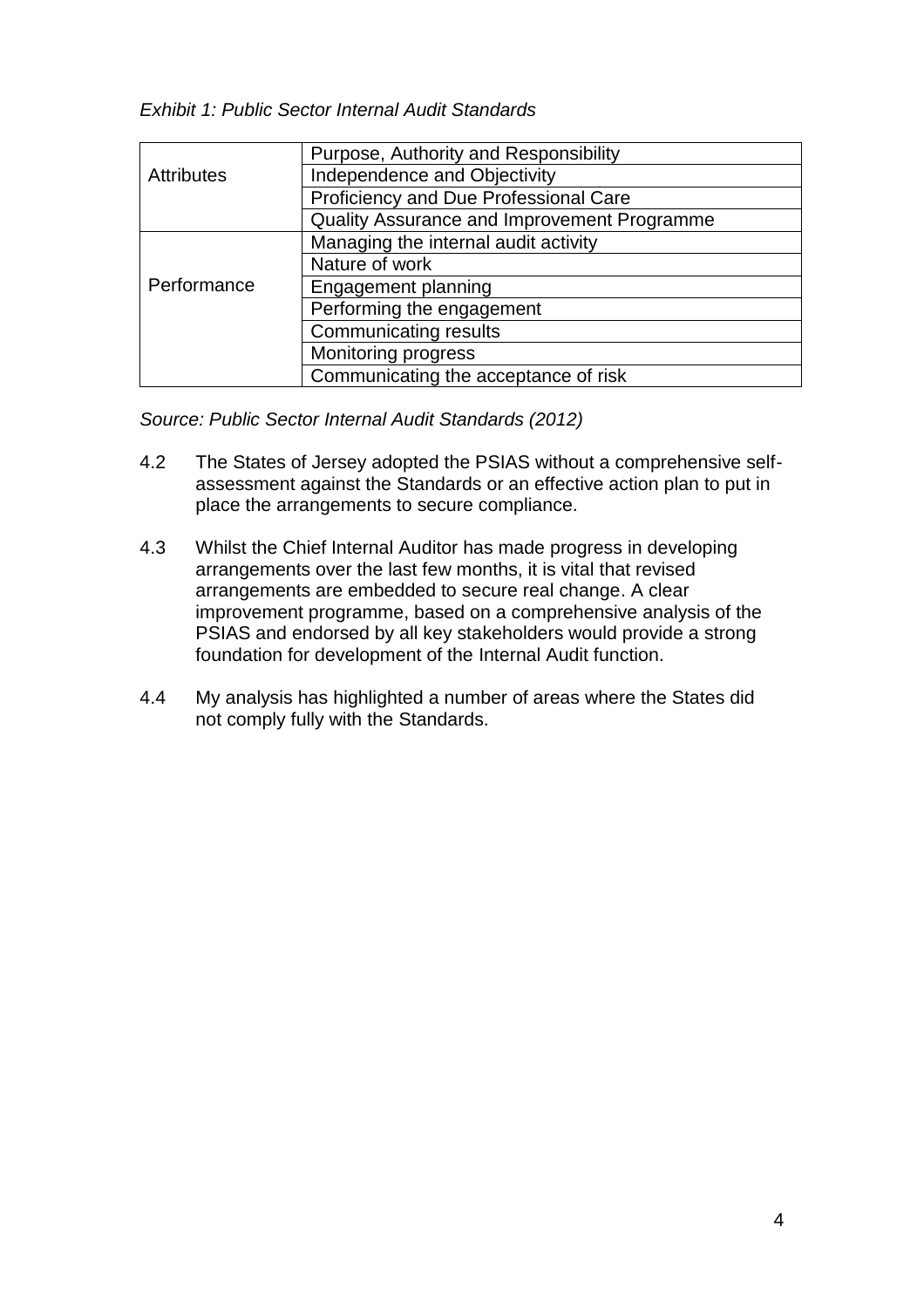*Exhibit 1: Public Sector Internal Audit Standards*

|                   | Purpose, Authority and Responsibility       |
|-------------------|---------------------------------------------|
| <b>Attributes</b> | Independence and Objectivity                |
|                   | Proficiency and Due Professional Care       |
|                   | Quality Assurance and Improvement Programme |
| Performance       | Managing the internal audit activity        |
|                   | Nature of work                              |
|                   | Engagement planning                         |
|                   | Performing the engagement                   |
|                   | <b>Communicating results</b>                |
|                   | Monitoring progress                         |
|                   | Communicating the acceptance of risk        |

*Source: Public Sector Internal Audit Standards (2012)*

- 4.2 The States of Jersey adopted the PSIAS without a comprehensive selfassessment against the Standards or an effective action plan to put in place the arrangements to secure compliance.
- 4.3 Whilst the Chief Internal Auditor has made progress in developing arrangements over the last few months, it is vital that revised arrangements are embedded to secure real change. A clear improvement programme, based on a comprehensive analysis of the PSIAS and endorsed by all key stakeholders would provide a strong foundation for development of the Internal Audit function.
- 4.4 My analysis has highlighted a number of areas where the States did not comply fully with the Standards.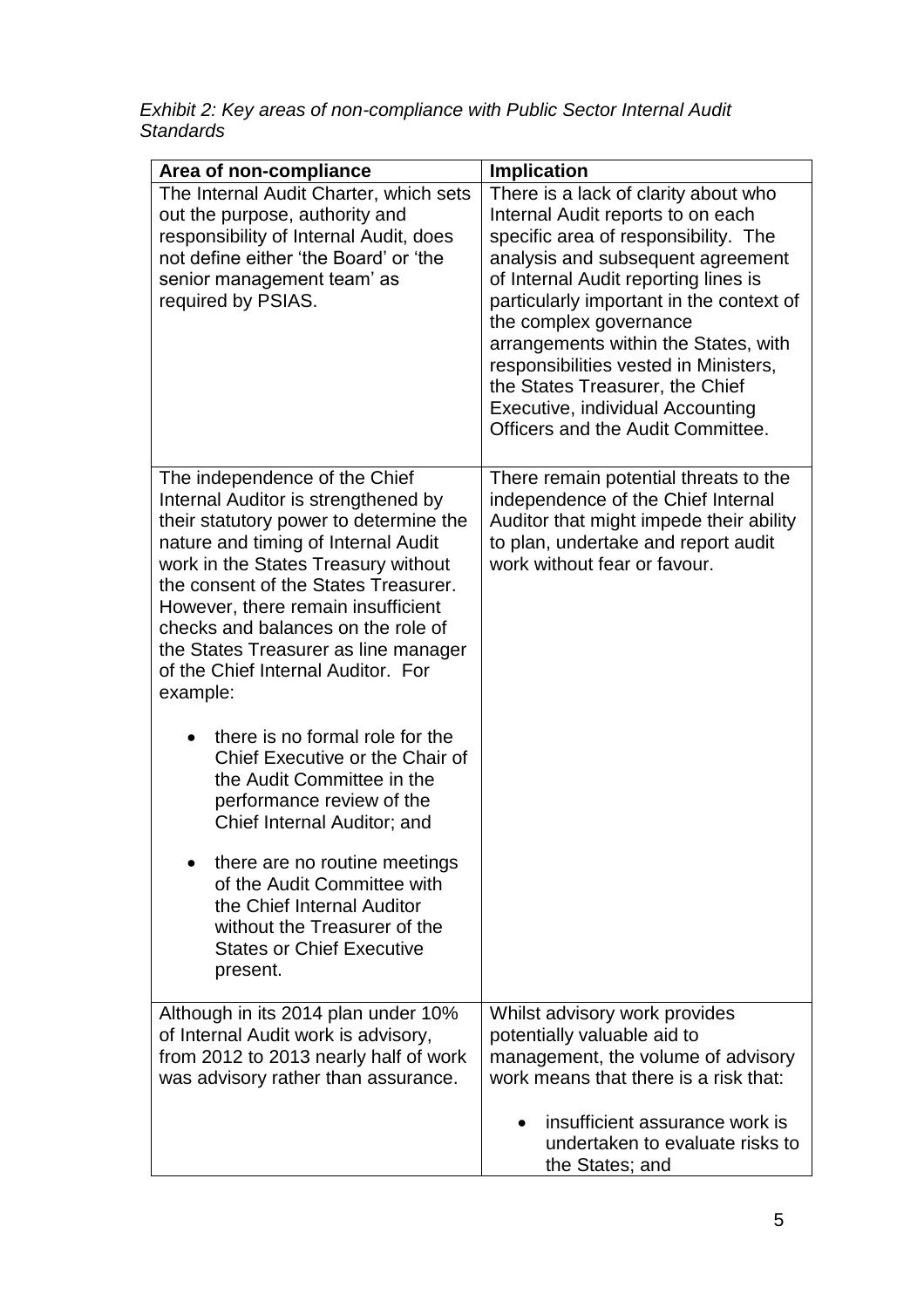*Exhibit 2: Key areas of non-compliance with Public Sector Internal Audit Standards*

| Area of non-compliance                                                                                                                                                                                                                                                                                                                                                                                     | <b>Implication</b>                                                                                                                                                                                                                                                                                      |
|------------------------------------------------------------------------------------------------------------------------------------------------------------------------------------------------------------------------------------------------------------------------------------------------------------------------------------------------------------------------------------------------------------|---------------------------------------------------------------------------------------------------------------------------------------------------------------------------------------------------------------------------------------------------------------------------------------------------------|
| The Internal Audit Charter, which sets<br>out the purpose, authority and<br>responsibility of Internal Audit, does<br>not define either 'the Board' or 'the                                                                                                                                                                                                                                                | There is a lack of clarity about who<br>Internal Audit reports to on each<br>specific area of responsibility. The<br>analysis and subsequent agreement                                                                                                                                                  |
| senior management team' as<br>required by PSIAS.                                                                                                                                                                                                                                                                                                                                                           | of Internal Audit reporting lines is<br>particularly important in the context of<br>the complex governance<br>arrangements within the States, with<br>responsibilities vested in Ministers,<br>the States Treasurer, the Chief<br>Executive, individual Accounting<br>Officers and the Audit Committee. |
| The independence of the Chief<br>Internal Auditor is strengthened by<br>their statutory power to determine the<br>nature and timing of Internal Audit<br>work in the States Treasury without<br>the consent of the States Treasurer.<br>However, there remain insufficient<br>checks and balances on the role of<br>the States Treasurer as line manager<br>of the Chief Internal Auditor. For<br>example: | There remain potential threats to the<br>independence of the Chief Internal<br>Auditor that might impede their ability<br>to plan, undertake and report audit<br>work without fear or favour.                                                                                                           |
| there is no formal role for the<br>Chief Executive or the Chair of<br>the Audit Committee in the<br>performance review of the<br>Chief Internal Auditor; and                                                                                                                                                                                                                                               |                                                                                                                                                                                                                                                                                                         |
| there are no routine meetings<br>of the Audit Committee with<br>the Chief Internal Auditor<br>without the Treasurer of the<br><b>States or Chief Executive</b><br>present.                                                                                                                                                                                                                                 |                                                                                                                                                                                                                                                                                                         |
| Although in its 2014 plan under 10%<br>of Internal Audit work is advisory,<br>from 2012 to 2013 nearly half of work<br>was advisory rather than assurance.                                                                                                                                                                                                                                                 | Whilst advisory work provides<br>potentially valuable aid to<br>management, the volume of advisory<br>work means that there is a risk that:                                                                                                                                                             |
|                                                                                                                                                                                                                                                                                                                                                                                                            | insufficient assurance work is<br>undertaken to evaluate risks to<br>the States; and                                                                                                                                                                                                                    |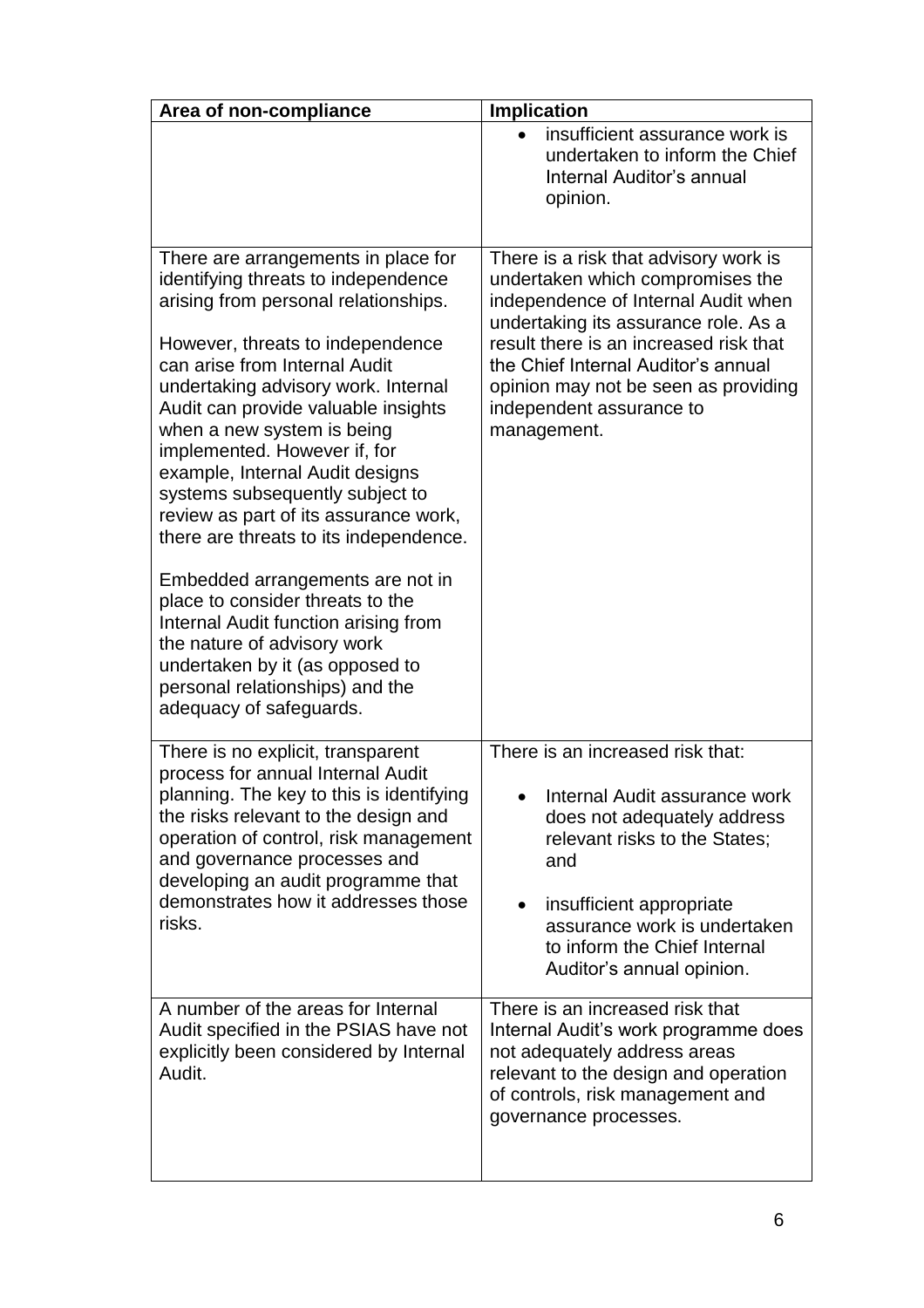| Area of non-compliance                                                                                                                                                                                                                                                                                                                                                                                                                                                                                                                                                                                                                                                                                                                       | <b>Implication</b>                                                                                                                                                                                                                                                                                                           |
|----------------------------------------------------------------------------------------------------------------------------------------------------------------------------------------------------------------------------------------------------------------------------------------------------------------------------------------------------------------------------------------------------------------------------------------------------------------------------------------------------------------------------------------------------------------------------------------------------------------------------------------------------------------------------------------------------------------------------------------------|------------------------------------------------------------------------------------------------------------------------------------------------------------------------------------------------------------------------------------------------------------------------------------------------------------------------------|
|                                                                                                                                                                                                                                                                                                                                                                                                                                                                                                                                                                                                                                                                                                                                              | insufficient assurance work is<br>undertaken to inform the Chief<br><b>Internal Auditor's annual</b><br>opinion.                                                                                                                                                                                                             |
| There are arrangements in place for<br>identifying threats to independence<br>arising from personal relationships.<br>However, threats to independence<br>can arise from Internal Audit<br>undertaking advisory work. Internal<br>Audit can provide valuable insights<br>when a new system is being<br>implemented. However if, for<br>example, Internal Audit designs<br>systems subsequently subject to<br>review as part of its assurance work,<br>there are threats to its independence.<br>Embedded arrangements are not in<br>place to consider threats to the<br>Internal Audit function arising from<br>the nature of advisory work<br>undertaken by it (as opposed to<br>personal relationships) and the<br>adequacy of safeguards. | There is a risk that advisory work is<br>undertaken which compromises the<br>independence of Internal Audit when<br>undertaking its assurance role. As a<br>result there is an increased risk that<br>the Chief Internal Auditor's annual<br>opinion may not be seen as providing<br>independent assurance to<br>management. |
| There is no explicit, transparent<br>process for annual Internal Audit<br>planning. The key to this is identifying<br>the risks relevant to the design and<br>operation of control, risk management<br>and governance processes and<br>developing an audit programme that<br>demonstrates how it addresses those<br>risks.                                                                                                                                                                                                                                                                                                                                                                                                                   | There is an increased risk that:<br>Internal Audit assurance work<br>does not adequately address<br>relevant risks to the States;<br>and<br>insufficient appropriate<br>assurance work is undertaken<br>to inform the Chief Internal<br>Auditor's annual opinion.                                                            |
| A number of the areas for Internal<br>Audit specified in the PSIAS have not<br>explicitly been considered by Internal<br>Audit.                                                                                                                                                                                                                                                                                                                                                                                                                                                                                                                                                                                                              | There is an increased risk that<br>Internal Audit's work programme does<br>not adequately address areas<br>relevant to the design and operation<br>of controls, risk management and<br>governance processes.                                                                                                                 |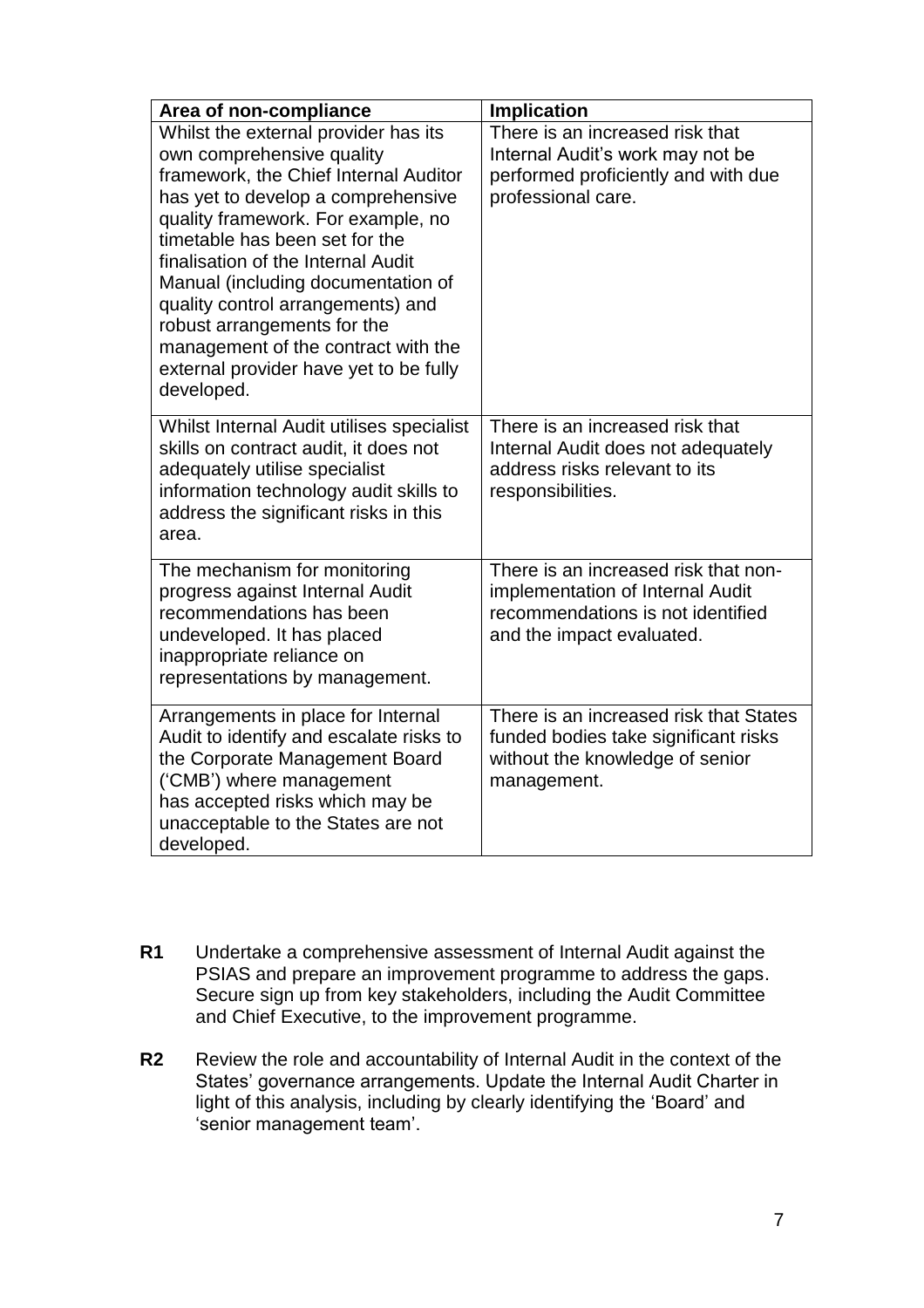| Area of non-compliance                                                                                                                                                                                                                                                                                                                                                                                                                                                  | <b>Implication</b>                                                                                                                         |
|-------------------------------------------------------------------------------------------------------------------------------------------------------------------------------------------------------------------------------------------------------------------------------------------------------------------------------------------------------------------------------------------------------------------------------------------------------------------------|--------------------------------------------------------------------------------------------------------------------------------------------|
| Whilst the external provider has its<br>own comprehensive quality<br>framework, the Chief Internal Auditor<br>has yet to develop a comprehensive<br>quality framework. For example, no<br>timetable has been set for the<br>finalisation of the Internal Audit<br>Manual (including documentation of<br>quality control arrangements) and<br>robust arrangements for the<br>management of the contract with the<br>external provider have yet to be fully<br>developed. | There is an increased risk that<br>Internal Audit's work may not be<br>performed proficiently and with due<br>professional care.           |
| Whilst Internal Audit utilises specialist<br>skills on contract audit, it does not<br>adequately utilise specialist<br>information technology audit skills to<br>address the significant risks in this<br>area.                                                                                                                                                                                                                                                         | There is an increased risk that<br>Internal Audit does not adequately<br>address risks relevant to its<br>responsibilities.                |
| The mechanism for monitoring<br>progress against Internal Audit<br>recommendations has been<br>undeveloped. It has placed<br>inappropriate reliance on<br>representations by management.                                                                                                                                                                                                                                                                                | There is an increased risk that non-<br>implementation of Internal Audit<br>recommendations is not identified<br>and the impact evaluated. |
| Arrangements in place for Internal<br>Audit to identify and escalate risks to<br>the Corporate Management Board<br>('CMB') where management<br>has accepted risks which may be<br>unacceptable to the States are not<br>developed.                                                                                                                                                                                                                                      | There is an increased risk that States<br>funded bodies take significant risks<br>without the knowledge of senior<br>management.           |

- **R1** Undertake a comprehensive assessment of Internal Audit against the PSIAS and prepare an improvement programme to address the gaps. Secure sign up from key stakeholders, including the Audit Committee and Chief Executive, to the improvement programme.
- **R2** Review the role and accountability of Internal Audit in the context of the States' governance arrangements. Update the Internal Audit Charter in light of this analysis, including by clearly identifying the 'Board' and 'senior management team'.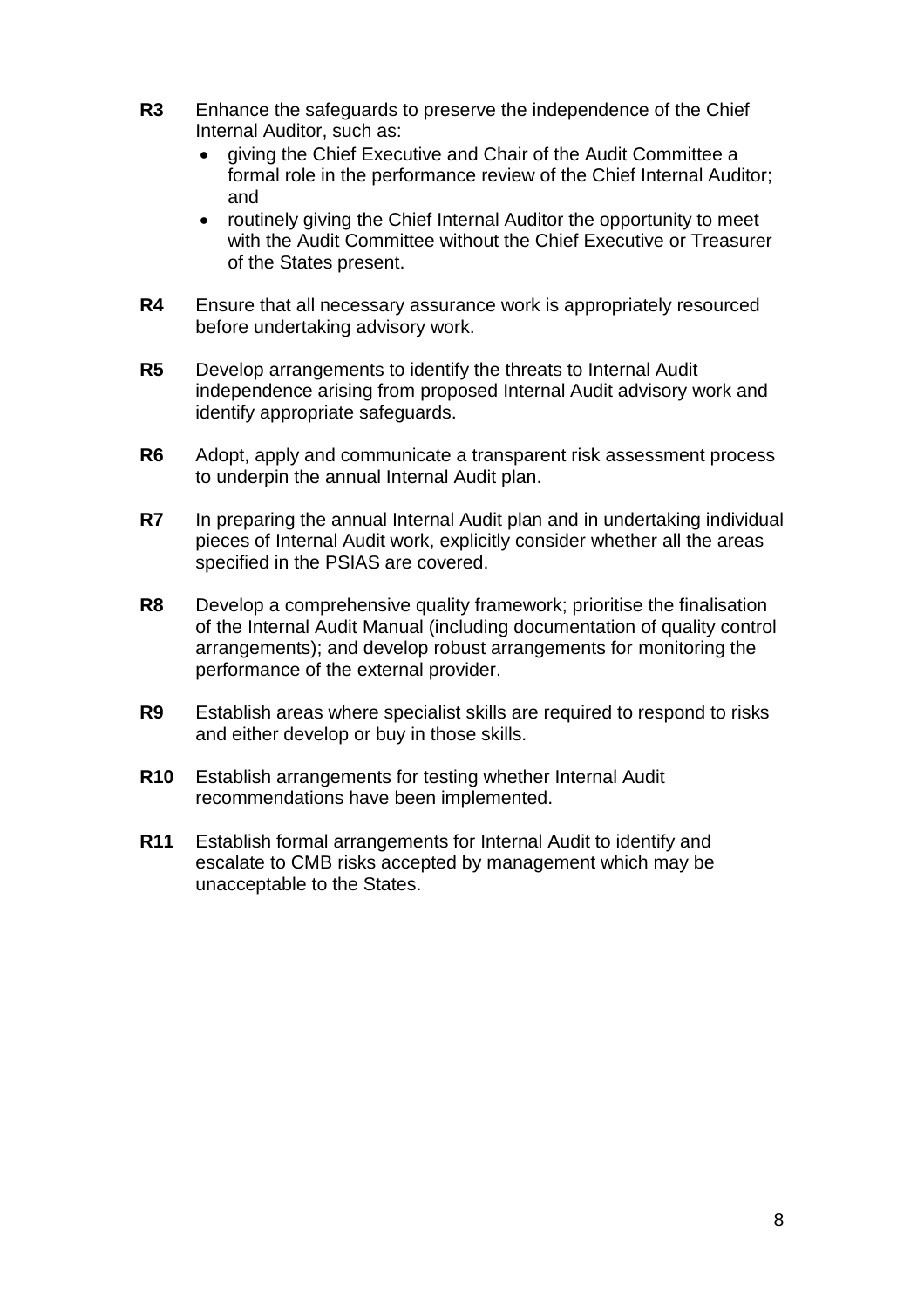- **R3** Enhance the safeguards to preserve the independence of the Chief Internal Auditor, such as:
	- giving the Chief Executive and Chair of the Audit Committee a formal role in the performance review of the Chief Internal Auditor; and
	- routinely giving the Chief Internal Auditor the opportunity to meet with the Audit Committee without the Chief Executive or Treasurer of the States present.
- **R4** Ensure that all necessary assurance work is appropriately resourced before undertaking advisory work.
- **R5** Develop arrangements to identify the threats to Internal Audit independence arising from proposed Internal Audit advisory work and identify appropriate safeguards.
- **R6** Adopt, apply and communicate a transparent risk assessment process to underpin the annual Internal Audit plan.
- **R7** In preparing the annual Internal Audit plan and in undertaking individual pieces of Internal Audit work, explicitly consider whether all the areas specified in the PSIAS are covered.
- **R8** Develop a comprehensive quality framework; prioritise the finalisation of the Internal Audit Manual (including documentation of quality control arrangements); and develop robust arrangements for monitoring the performance of the external provider.
- **R9** Establish areas where specialist skills are required to respond to risks and either develop or buy in those skills.
- **R10** Establish arrangements for testing whether Internal Audit recommendations have been implemented.
- **R11** Establish formal arrangements for Internal Audit to identify and escalate to CMB risks accepted by management which may be unacceptable to the States.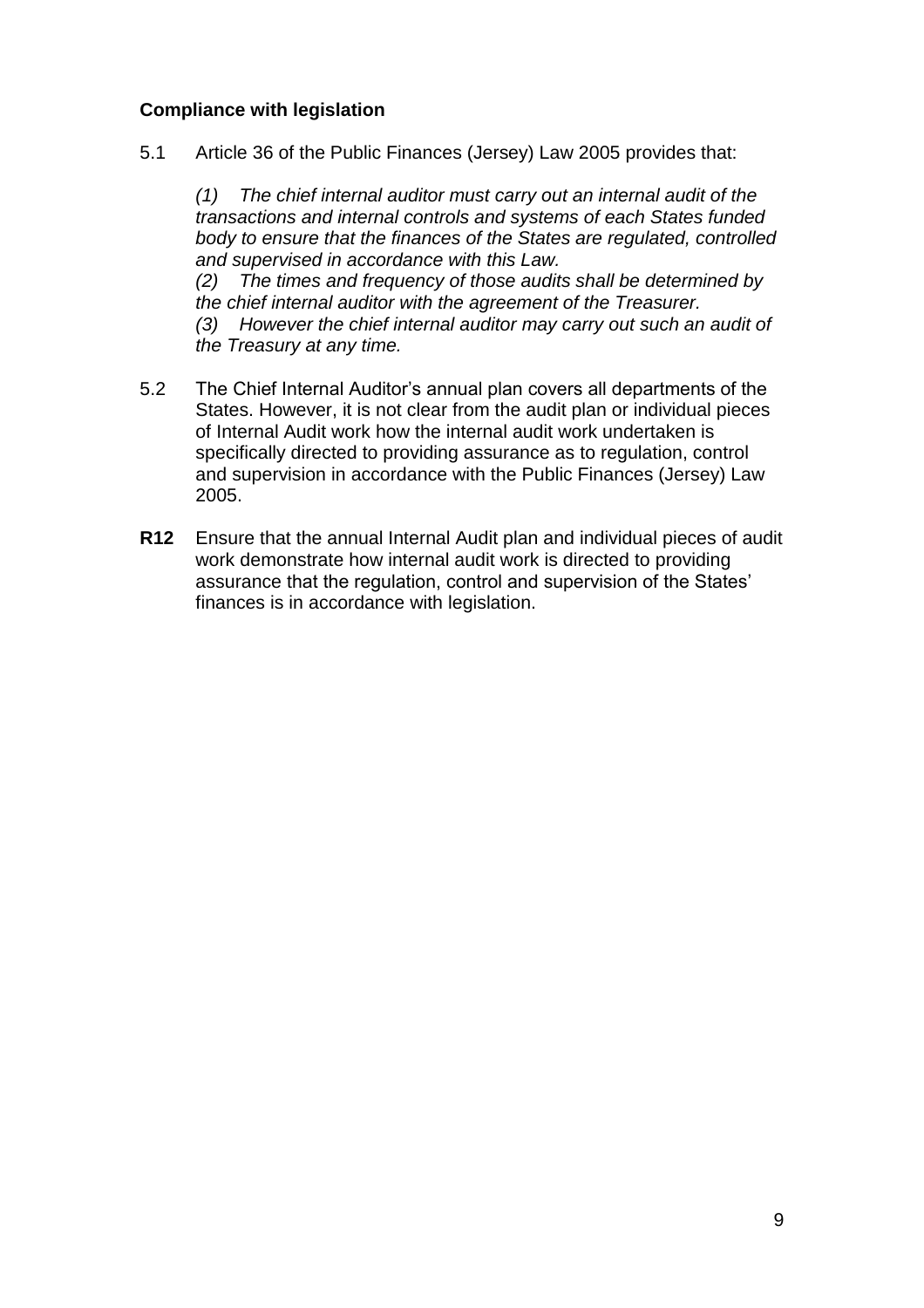## **Compliance with legislation**

5.1 Article 36 of the Public Finances (Jersey) Law 2005 provides that:

*(1) The chief internal auditor must carry out an internal audit of the transactions and internal controls and systems of each States funded body to ensure that the finances of the States are regulated, controlled and supervised in accordance with this Law.*

*(2) The times and frequency of those audits shall be determined by the chief internal auditor with the agreement of the Treasurer.*

*(3) However the chief internal auditor may carry out such an audit of the Treasury at any time.*

- 5.2 The Chief Internal Auditor's annual plan covers all departments of the States. However, it is not clear from the audit plan or individual pieces of Internal Audit work how the internal audit work undertaken is specifically directed to providing assurance as to regulation, control and supervision in accordance with the Public Finances (Jersey) Law 2005.
- **R12** Ensure that the annual Internal Audit plan and individual pieces of audit work demonstrate how internal audit work is directed to providing assurance that the regulation, control and supervision of the States' finances is in accordance with legislation.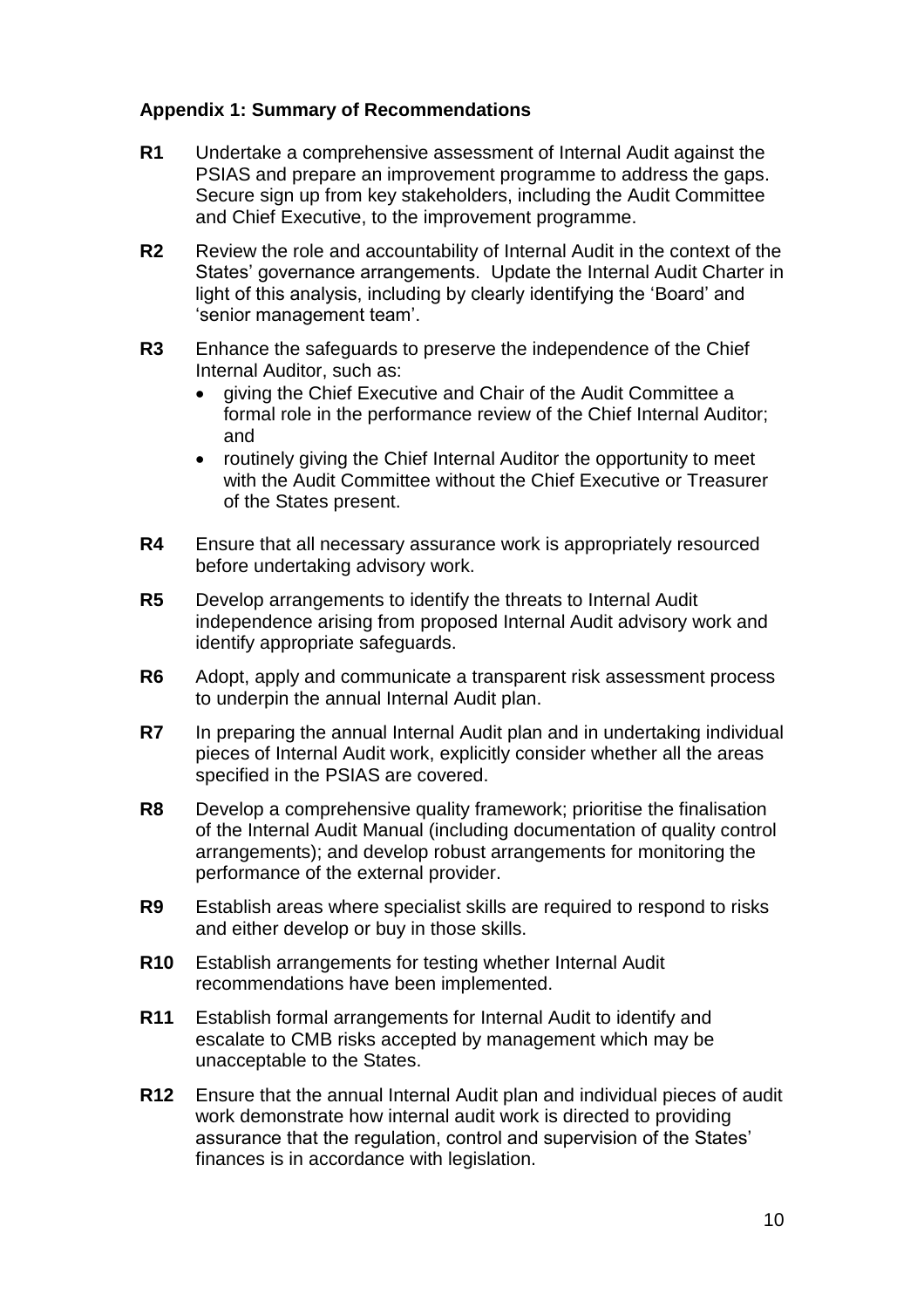### **Appendix 1: Summary of Recommendations**

- **R1** Undertake a comprehensive assessment of Internal Audit against the PSIAS and prepare an improvement programme to address the gaps. Secure sign up from key stakeholders, including the Audit Committee and Chief Executive, to the improvement programme.
- **R2** Review the role and accountability of Internal Audit in the context of the States' governance arrangements. Update the Internal Audit Charter in light of this analysis, including by clearly identifying the 'Board' and 'senior management team'.
- **R3** Enhance the safeguards to preserve the independence of the Chief Internal Auditor, such as:
	- giving the Chief Executive and Chair of the Audit Committee a formal role in the performance review of the Chief Internal Auditor; and
	- routinely giving the Chief Internal Auditor the opportunity to meet with the Audit Committee without the Chief Executive or Treasurer of the States present.
- **R4** Ensure that all necessary assurance work is appropriately resourced before undertaking advisory work.
- **R5** Develop arrangements to identify the threats to Internal Audit independence arising from proposed Internal Audit advisory work and identify appropriate safeguards.
- **R6** Adopt, apply and communicate a transparent risk assessment process to underpin the annual Internal Audit plan.
- **R7** In preparing the annual Internal Audit plan and in undertaking individual pieces of Internal Audit work, explicitly consider whether all the areas specified in the PSIAS are covered.
- **R8** Develop a comprehensive quality framework; prioritise the finalisation of the Internal Audit Manual (including documentation of quality control arrangements); and develop robust arrangements for monitoring the performance of the external provider.
- **R9** Establish areas where specialist skills are required to respond to risks and either develop or buy in those skills.
- **R10** Establish arrangements for testing whether Internal Audit recommendations have been implemented.
- **R11** Establish formal arrangements for Internal Audit to identify and escalate to CMB risks accepted by management which may be unacceptable to the States.
- **R12** Ensure that the annual Internal Audit plan and individual pieces of audit work demonstrate how internal audit work is directed to providing assurance that the regulation, control and supervision of the States' finances is in accordance with legislation.